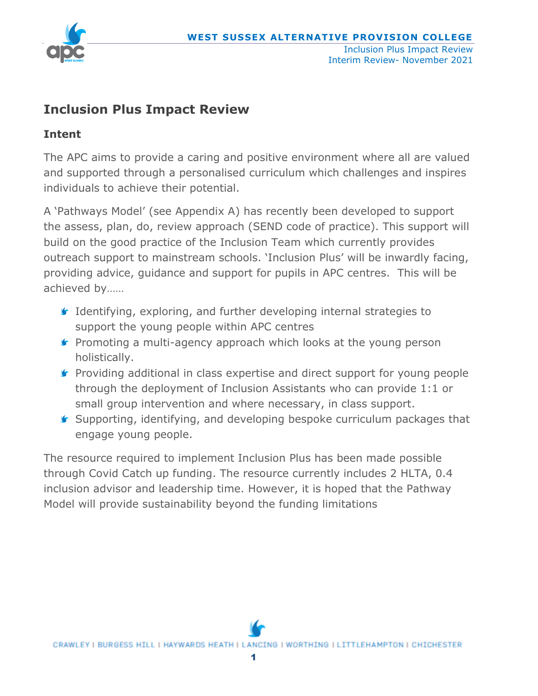

# **Inclusion Plus Impact Review**

# **Intent**

The APC aims to provide a caring and positive environment where all are valued and supported through a personalised curriculum which challenges and inspires individuals to achieve their potential.

A 'Pathways Model' (see Appendix A) has recently been developed to support the assess, plan, do, review approach (SEND code of practice). This support will build on the good practice of the Inclusion Team which currently provides outreach support to mainstream schools. 'Inclusion Plus' will be inwardly facing, providing advice, guidance and support for pupils in APC centres. This will be achieved by……

- Identifying, exploring, and further developing internal strategies to support the young people within APC centres
- **F** Promoting a multi-agency approach which looks at the young person holistically.
- **F** Providing additional in class expertise and direct support for young people through the deployment of Inclusion Assistants who can provide 1:1 or small group intervention and where necessary, in class support.
- Supporting, identifying, and developing bespoke curriculum packages that engage young people.

The resource required to implement Inclusion Plus has been made possible through Covid Catch up funding. The resource currently includes 2 HLTA, 0.4 inclusion advisor and leadership time. However, it is hoped that the Pathway Model will provide sustainability beyond the funding limitations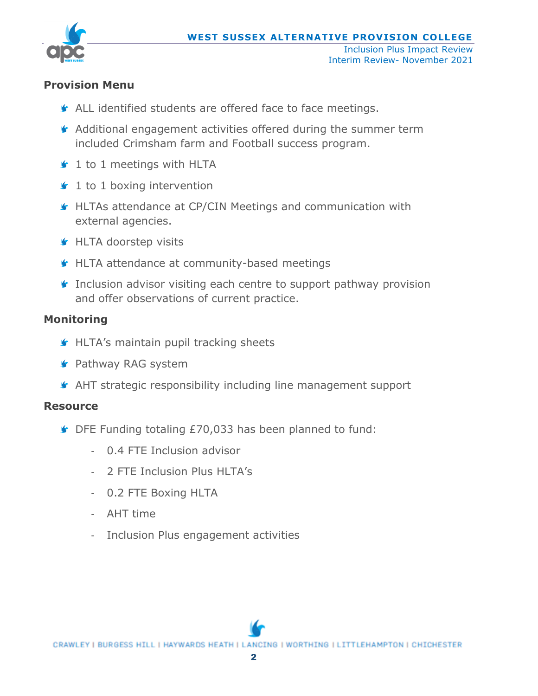

#### **Provision Menu**

- ALL identified students are offered face to face meetings.
- Additional engagement activities offered during the summer term included Crimsham farm and Football success program.
- **■** 1 to 1 meetings with HLTA
- $\mathbf f$  1 to 1 boxing intervention
- HLTAs attendance at CP/CIN Meetings and communication with external agencies.
- **G** HLTA doorstep visits
- **HLTA** attendance at community-based meetings
- **Inclusion advisor visiting each centre to support pathway provision** and offer observations of current practice.

## **Monitoring**

- **S** HLTA's maintain pupil tracking sheets
- **S** Pathway RAG system
- AHT strategic responsibility including line management support

#### **Resource**

- DFE Funding totaling £70,033 has been planned to fund:
	- 0.4 FTE Inclusion advisor
	- 2 FTE Inclusion Plus HLTA's
	- 0.2 FTE Boxing HLTA
	- AHT time
	- Inclusion Plus engagement activities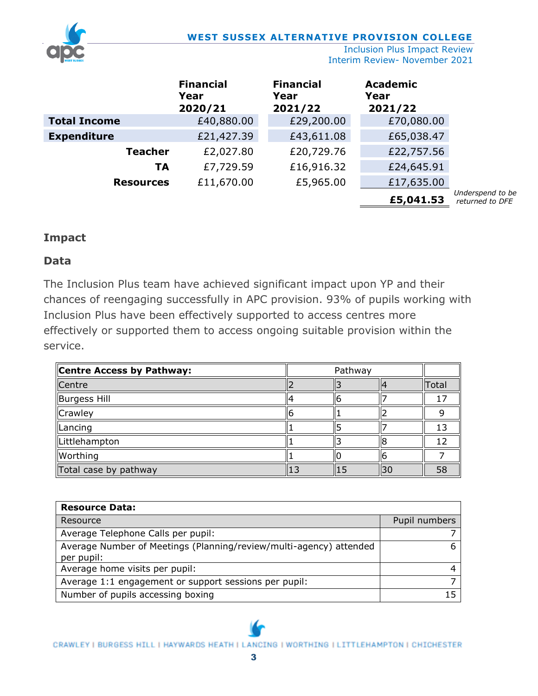

Inclusion Plus Impact Review Interim Review- November 2021

|                     | <b>Financial</b><br>Year<br>2020/21 | <b>Financial</b><br>Year<br>2021/22 | <b>Academic</b><br>Year<br>2021/22 |                                     |
|---------------------|-------------------------------------|-------------------------------------|------------------------------------|-------------------------------------|
| <b>Total Income</b> | £40,880.00                          | £29,200.00                          | £70,080.00                         |                                     |
| <b>Expenditure</b>  | £21,427.39                          | £43,611.08                          | £65,038.47                         |                                     |
| <b>Teacher</b>      | £2,027.80                           | £20,729.76                          | £22,757.56                         |                                     |
| <b>TA</b>           | £7,729.59                           | £16,916.32                          | £24,645.91                         |                                     |
| <b>Resources</b>    | £11,670.00                          | £5,965.00                           | £17,635.00                         |                                     |
|                     |                                     |                                     | £5,041.53                          | Underspend to be<br>returned to DFE |

#### **Impact**

#### **Data**

The Inclusion Plus team have achieved significant impact upon YP and their chances of reengaging successfully in APC provision. 93% of pupils working with Inclusion Plus have been effectively supported to access centres more effectively or supported them to access ongoing suitable provision within the service.

| Centre Access by Pathway: | Pathway |  |           |              |
|---------------------------|---------|--|-----------|--------------|
| Centre                    |         |  |           | <b>Total</b> |
| Burgess Hill              |         |  |           |              |
| Crawley                   |         |  |           |              |
| Lancing                   |         |  |           |              |
| Littlehampton             |         |  |           |              |
| Worthing                  |         |  |           |              |
| Total case by pathway     | 13      |  | <b>30</b> | 58           |

| <b>Resource Data:</b>                                              |               |
|--------------------------------------------------------------------|---------------|
| Resource                                                           | Pupil numbers |
| Average Telephone Calls per pupil:                                 |               |
| Average Number of Meetings (Planning/review/multi-agency) attended |               |
| per pupil:                                                         |               |
| Average home visits per pupil:                                     |               |
| Average 1:1 engagement or support sessions per pupil:              |               |
| Number of pupils accessing boxing                                  |               |

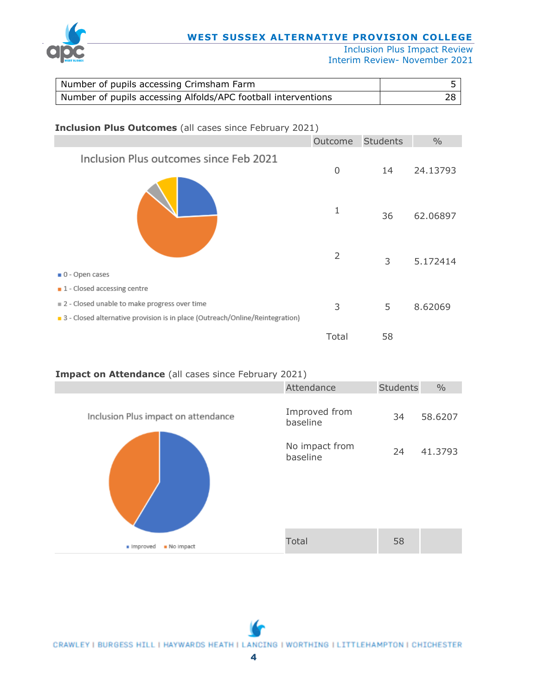

#### **WEST SUSSEX ALTERNATIVE PROVISION COLLEGE**

Inclusion Plus Impact Review Interim Review- November 2021

| Number of pupils accessing Crimsham Farm                      |  |
|---------------------------------------------------------------|--|
| Number of pupils accessing Alfolds/APC football interventions |  |

| <b>Inclusion Plus Outcomes</b> (all cases since February 2021)               |         |                 |               |  |
|------------------------------------------------------------------------------|---------|-----------------|---------------|--|
|                                                                              | Outcome | <b>Students</b> | $\frac{0}{0}$ |  |
| Inclusion Plus outcomes since Feb 2021                                       | 0       | 14              | 24.13793      |  |
|                                                                              | 1       | 36              | 62.06897      |  |
|                                                                              | 2       | 3               | 5.172414      |  |
| 0 - Open cases                                                               |         |                 |               |  |
| 1 - Closed accessing centre                                                  |         |                 |               |  |
| 2 - Closed unable to make progress over time                                 | 3       | 5               | 8.62069       |  |
| 3 - Closed alternative provision is in place (Outreach/Online/Reintegration) |         |                 |               |  |
|                                                                              | Total   | 58              |               |  |

#### **Impact on Attendance** (all cases since February 2021)

|                                     | Attendance                                              | Students | $\frac{0}{0}$      |
|-------------------------------------|---------------------------------------------------------|----------|--------------------|
| Inclusion Plus impact on attendance | Improved from<br>baseline<br>No impact from<br>baseline | 34<br>24 | 58.6207<br>41.3793 |
| · Improved<br>No impact             | <b>Total</b>                                            | 58       |                    |

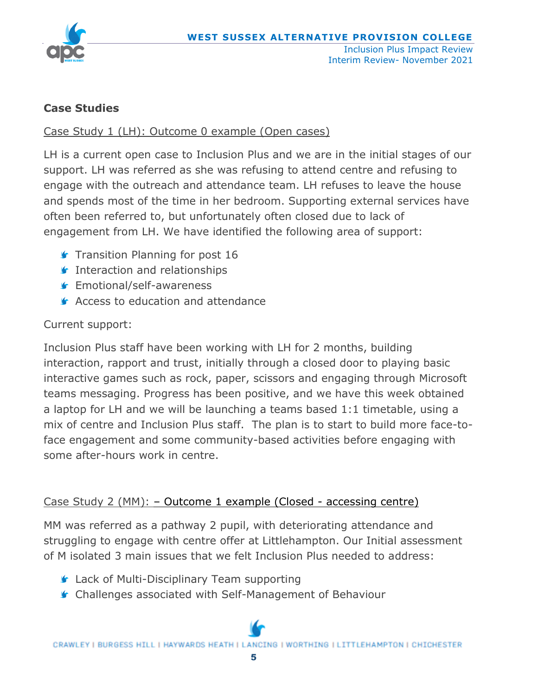

## **Case Studies**

## Case Study 1 (LH): Outcome 0 example (Open cases)

LH is a current open case to Inclusion Plus and we are in the initial stages of our support. LH was referred as she was refusing to attend centre and refusing to engage with the outreach and attendance team. LH refuses to leave the house and spends most of the time in her bedroom. Supporting external services have often been referred to, but unfortunately often closed due to lack of engagement from LH. We have identified the following area of support:

- **Transition Planning for post 16**
- **Interaction and relationships**
- **■** Emotional/self-awareness
- **Access to education and attendance**

## Current support:

Inclusion Plus staff have been working with LH for 2 months, building interaction, rapport and trust, initially through a closed door to playing basic interactive games such as rock, paper, scissors and engaging through Microsoft teams messaging. Progress has been positive, and we have this week obtained a laptop for LH and we will be launching a teams based 1:1 timetable, using a mix of centre and Inclusion Plus staff. The plan is to start to build more face-toface engagement and some community-based activities before engaging with some after-hours work in centre.

## Case Study 2 (MM): – Outcome 1 example (Closed - accessing centre)

MM was referred as a pathway 2 pupil, with deteriorating attendance and struggling to engage with centre offer at Littlehampton. Our Initial assessment of M isolated 3 main issues that we felt Inclusion Plus needed to address:

- Lack of Multi-Disciplinary Team supporting
- Challenges associated with Self-Management of Behaviour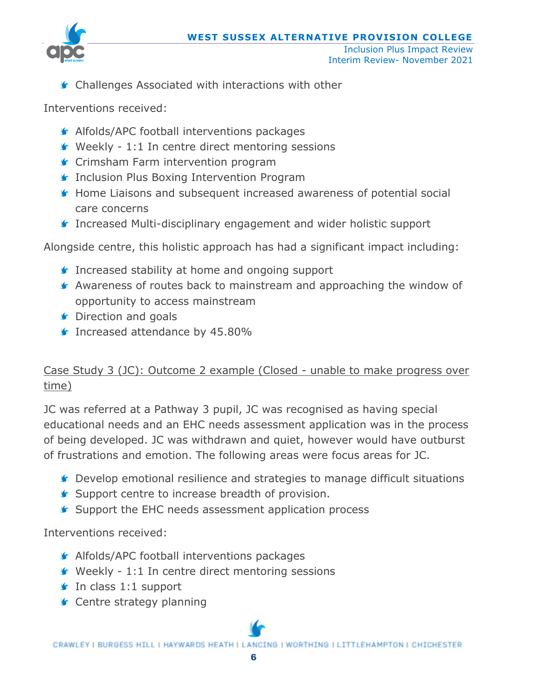

Interim Review- November 2021

Challenges Associated with interactions with other

Interventions received:

- **Alfolds/APC football interventions packages**
- Weekly 1:1 In centre direct mentoring sessions
- **G** Crimsham Farm intervention program
- **Inclusion Plus Boxing Intervention Program**
- **G** Home Liaisons and subsequent increased awareness of potential social care concerns
- Increased Multi-disciplinary engagement and wider holistic support

Alongside centre, this holistic approach has had a significant impact including:

- Increased stability at home and ongoing support
- Awareness of routes back to mainstream and approaching the window of opportunity to access mainstream
- **S** Direction and goals
- Increased attendance by 45.80%

# Case Study 3 (JC): Outcome 2 example (Closed - unable to make progress over time)

JC was referred at a Pathway 3 pupil, JC was recognised as having special educational needs and an EHC needs assessment application was in the process of being developed. JC was withdrawn and quiet, however would have outburst of frustrations and emotion. The following areas were focus areas for JC.

- Develop emotional resilience and strategies to manage difficult situations
- **Support centre to increase breadth of provision.**
- **Support the EHC needs assessment application process**

Interventions received:

- **Alfolds/APC football interventions packages**
- $\blacktriangleright$  Weekly 1:1 In centre direct mentoring sessions
- $\mathbf f$  In class 1:1 support
- **Centre strategy planning**

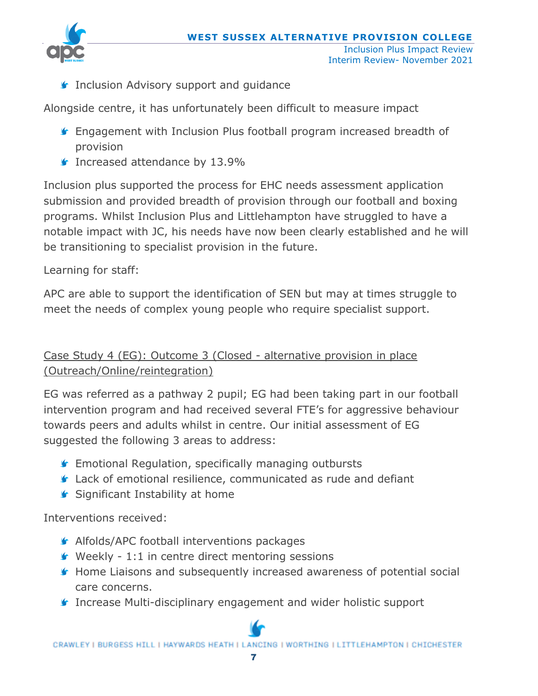

**Inclusion Advisory support and guidance** 

Alongside centre, it has unfortunately been difficult to measure impact

- **F** Engagement with Inclusion Plus football program increased breadth of provision
- **Increased attendance by 13.9%**

Inclusion plus supported the process for EHC needs assessment application submission and provided breadth of provision through our football and boxing programs. Whilst Inclusion Plus and Littlehampton have struggled to have a notable impact with JC, his needs have now been clearly established and he will be transitioning to specialist provision in the future.

# Learning for staff:

APC are able to support the identification of SEN but may at times struggle to meet the needs of complex young people who require specialist support.

# Case Study 4 (EG): Outcome 3 (Closed - alternative provision in place (Outreach/Online/reintegration)

EG was referred as a pathway 2 pupil; EG had been taking part in our football intervention program and had received several FTE's for aggressive behaviour towards peers and adults whilst in centre. Our initial assessment of EG suggested the following 3 areas to address:

- **F** Emotional Regulation, specifically managing outbursts
- Lack of emotional resilience, communicated as rude and defiant
- Significant Instability at home

Interventions received:

- **Alfolds/APC football interventions packages**
- $\blacktriangleright$  Weekly 1:1 in centre direct mentoring sessions
- Home Liaisons and subsequently increased awareness of potential social care concerns.
- Increase Multi-disciplinary engagement and wider holistic support

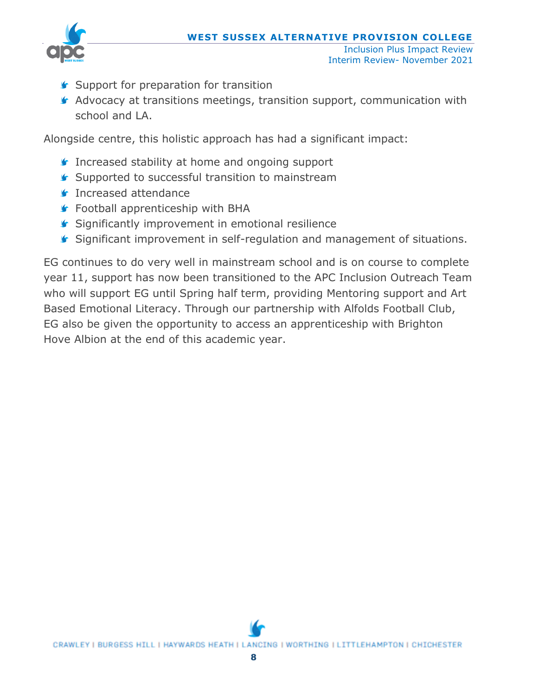

- Interim Review- November 2021
- **Support for preparation for transition**
- Advocacy at transitions meetings, transition support, communication with school and LA.

Alongside centre, this holistic approach has had a significant impact:

- **Increased stability at home and ongoing support**
- **■** Supported to successful transition to mainstream
- **Increased attendance**
- **Football apprenticeship with BHA**
- **Significantly improvement in emotional resilience**
- Significant improvement in self-regulation and management of situations.

EG continues to do very well in mainstream school and is on course to complete year 11, support has now been transitioned to the APC Inclusion Outreach Team who will support EG until Spring half term, providing Mentoring support and Art Based Emotional Literacy. Through our partnership with Alfolds Football Club, EG also be given the opportunity to access an apprenticeship with Brighton Hove Albion at the end of this academic year.